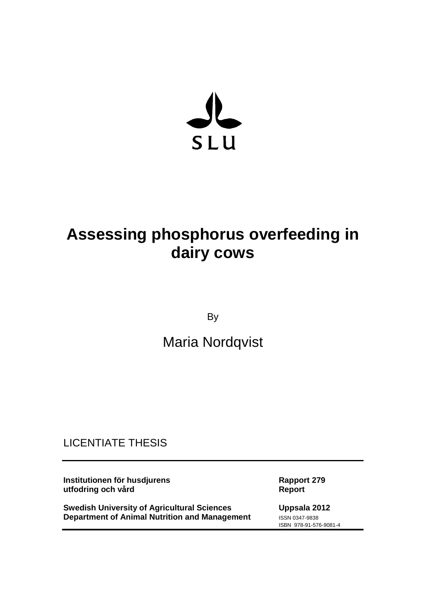

# **Assessing phosphorus overfeeding in dairy cows**

By

## Maria Nordqvist

## LICENTIATE THESIS

**Institutionen för husdjurens Rapport 279 utfodring och vård** 

**Swedish University of Agricultural Sciences Uppsala 2012 Department of Animal Nutrition and Management** ISSN 0347-9838

ISBN 978-91-576-9081-4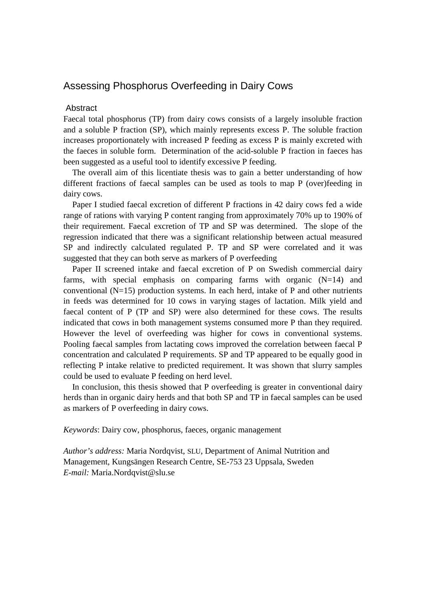### Assessing Phosphorus Overfeeding in Dairy Cows

#### Abstract

Faecal total phosphorus (TP) from dairy cows consists of a largely insoluble fraction and a soluble P fraction (SP), which mainly represents excess P. The soluble fraction increases proportionately with increased P feeding as excess P is mainly excreted with the faeces in soluble form. Determination of the acid-soluble P fraction in faeces has been suggested as a useful tool to identify excessive P feeding.

The overall aim of this licentiate thesis was to gain a better understanding of how different fractions of faecal samples can be used as tools to map P (over)feeding in dairy cows.

Paper I studied faecal excretion of different P fractions in 42 dairy cows fed a wide range of rations with varying P content ranging from approximately 70% up to 190% of their requirement. Faecal excretion of TP and SP was determined. The slope of the regression indicated that there was a significant relationship between actual measured SP and indirectly calculated regulated P. TP and SP were correlated and it was suggested that they can both serve as markers of P overfeeding

Paper II screened intake and faecal excretion of P on Swedish commercial dairy farms, with special emphasis on comparing farms with organic  $(N=14)$  and conventional  $(N=15)$  production systems. In each herd, intake of P and other nutrients in feeds was determined for 10 cows in varying stages of lactation. Milk yield and faecal content of P (TP and SP) were also determined for these cows. The results indicated that cows in both management systems consumed more P than they required. However the level of overfeeding was higher for cows in conventional systems. Pooling faecal samples from lactating cows improved the correlation between faecal P concentration and calculated P requirements. SP and TP appeared to be equally good in reflecting P intake relative to predicted requirement. It was shown that slurry samples could be used to evaluate P feeding on herd level.

In conclusion, this thesis showed that P overfeeding is greater in conventional dairy herds than in organic dairy herds and that both SP and TP in faecal samples can be used as markers of P overfeeding in dairy cows.

*Keywords*: Dairy cow, phosphorus, faeces, organic management

*Author's address:* Maria Nordqvist, SLU, Department of Animal Nutrition and Management, Kungsängen Research Centre, SE-753 23 Uppsala, Sweden *E-mail:* Maria.Nordqvist@slu.se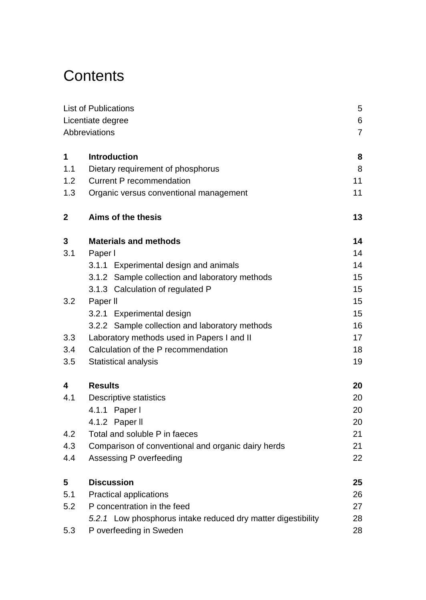# **Contents**

|                   | List of Publications                                         | 5<br>6         |  |  |
|-------------------|--------------------------------------------------------------|----------------|--|--|
| Licentiate degree |                                                              |                |  |  |
|                   | Abbreviations                                                | $\overline{7}$ |  |  |
| 1                 | <b>Introduction</b>                                          | 8              |  |  |
| 1.1               | Dietary requirement of phosphorus                            | 8              |  |  |
| 1.2               | <b>Current P recommendation</b>                              | 11             |  |  |
| 1.3               | Organic versus conventional management                       | 11             |  |  |
| 2                 | Aims of the thesis                                           | 13             |  |  |
| 3                 | <b>Materials and methods</b>                                 | 14             |  |  |
| 3.1               | Paper I                                                      | 14             |  |  |
|                   | 3.1.1 Experimental design and animals                        | 14             |  |  |
|                   | 3.1.2 Sample collection and laboratory methods               | 15             |  |  |
|                   | 3.1.3 Calculation of regulated P                             | 15             |  |  |
| 3.2               | Paper II                                                     | 15             |  |  |
|                   | 3.2.1 Experimental design                                    | 15             |  |  |
|                   | 3.2.2 Sample collection and laboratory methods               | 16             |  |  |
| 3.3               | Laboratory methods used in Papers I and II                   | 17             |  |  |
| 3.4               | Calculation of the P recommendation                          | 18             |  |  |
| 3.5               | Statistical analysis                                         | 19             |  |  |
| 4                 | <b>Results</b>                                               | 20             |  |  |
| 4.1               | Descriptive statistics                                       | 20             |  |  |
|                   | 4.1.1 Paper I                                                | 20             |  |  |
|                   | 4.1.2 Paper II                                               | 20             |  |  |
| 4.2               | Total and soluble P in faeces                                | 21             |  |  |
| 4.3               | Comparison of conventional and organic dairy herds           | 21             |  |  |
| 4.4               | Assessing P overfeeding                                      | 22             |  |  |
| 5                 | <b>Discussion</b>                                            | 25             |  |  |
| 5.1               | Practical applications                                       | 26             |  |  |
| 5.2               | P concentration in the feed                                  | 27             |  |  |
|                   | 5.2.1 Low phosphorus intake reduced dry matter digestibility | 28             |  |  |
| 5.3               | P overfeeding in Sweden                                      | 28             |  |  |
|                   |                                                              |                |  |  |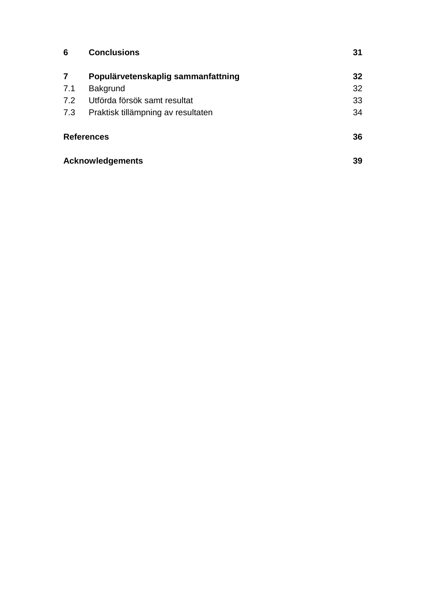| 6   | <b>Conclusions</b>                 | 31 |
|-----|------------------------------------|----|
| 7   | Populärvetenskaplig sammanfattning | 32 |
| 7.1 | Bakgrund                           | 32 |
| 7.2 | Utförda försök samt resultat       | 33 |
| 7.3 | Praktisk tillämpning av resultaten | 34 |
|     | <b>References</b>                  | 36 |
|     | <b>Acknowledgements</b>            | 39 |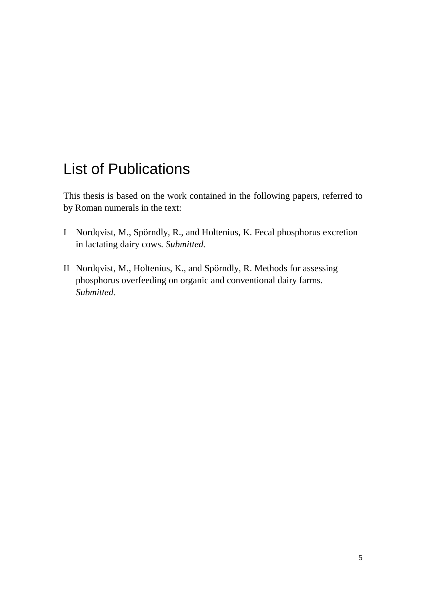## <span id="page-4-0"></span>List of Publications

This thesis is based on the work contained in the following papers, referred to by Roman numerals in the text:

- I Nordqvist, M., Spörndly, R., and Holtenius, K. Fecal phosphorus excretion in lactating dairy cows. *Submitted.*
- II Nordqvist, M., Holtenius, K., and Spörndly, R. Methods for assessing phosphorus overfeeding on organic and conventional dairy farms. *Submitted.*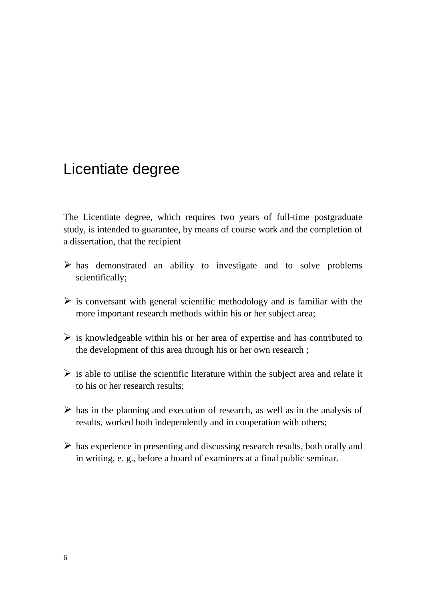## <span id="page-5-0"></span>Licentiate degree

The Licentiate degree, which requires two years of full-time postgraduate study, is intended to guarantee, by means of course work and the completion of a dissertation, that the recipient

- $\triangleright$  has demonstrated an ability to investigate and to solve problems scientifically;
- $\triangleright$  is conversant with general scientific methodology and is familiar with the more important research methods within his or her subject area;
- $\triangleright$  is knowledgeable within his or her area of expertise and has contributed to the development of this area through his or her own research ;
- $\triangleright$  is able to utilise the scientific literature within the subject area and relate it to his or her research results;
- $\triangleright$  has in the planning and execution of research, as well as in the analysis of results, worked both independently and in cooperation with others;
- $\triangleright$  has experience in presenting and discussing research results, both orally and in writing, e. g., before a board of examiners at a final public seminar.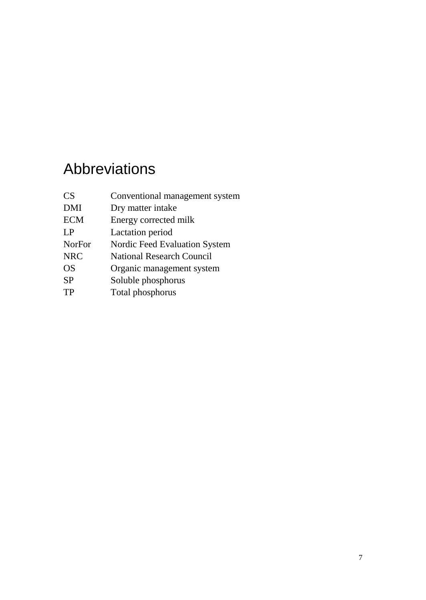# <span id="page-6-0"></span>Abbreviations

| CS <sup>-</sup> | Conventional management system |
|-----------------|--------------------------------|
| <b>DMI</b>      | Dry matter intake              |
| <b>ECM</b>      | Energy corrected milk          |
| LP              | Lactation period               |
| <b>NorFor</b>   | Nordic Feed Evaluation System  |
| <b>NRC</b>      | National Research Council      |
| <b>OS</b>       | Organic management system      |
| <b>SP</b>       | Soluble phosphorus             |
| TP              | Total phosphorus               |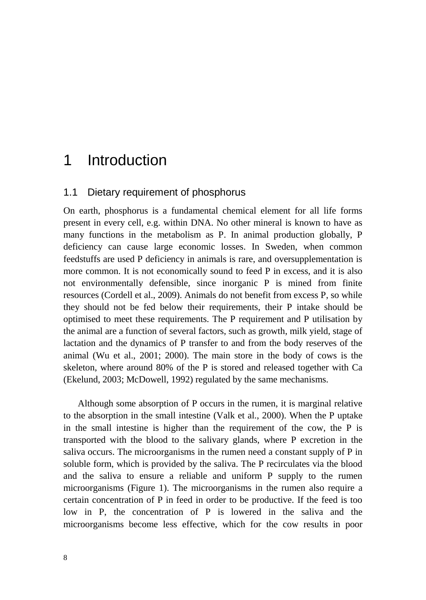## <span id="page-7-0"></span>1 Introduction

#### <span id="page-7-1"></span>1.1 Dietary requirement of phosphorus

On earth, phosphorus is a fundamental chemical element for all life forms present in every cell, e.g. within DNA. No other mineral is known to have as many functions in the metabolism as P. In animal production globally, P deficiency can cause large economic losses. In Sweden, when common feedstuffs are used P deficiency in animals is rare, and oversupplementation is more common. It is not economically sound to feed P in excess, and it is also not environmentally defensible, since inorganic P is mined from finite resources (Cordell et al., 2009). Animals do not benefit from excess P, so while they should not be fed below their requirements, their P intake should be optimised to meet these requirements. The P requirement and P utilisation by the animal are a function of several factors, such as growth, milk yield, stage of lactation and the dynamics of P transfer to and from the body reserves of the animal (Wu et al., 2001; 2000). The main store in the body of cows is the skeleton, where around 80% of the P is stored and released together with Ca (Ekelund, 2003; McDowell, 1992) regulated by the same mechanisms.

Although some absorption of P occurs in the rumen, it is marginal relative to the absorption in the small intestine (Valk et al., 2000). When the P uptake in the small intestine is higher than the requirement of the cow, the P is transported with the blood to the salivary glands, where P excretion in the saliva occurs. The microorganisms in the rumen need a constant supply of P in soluble form, which is provided by the saliva. The P recirculates via the blood and the saliva to ensure a reliable and uniform P supply to the rumen microorganisms (Figure 1). The microorganisms in the rumen also require a certain concentration of P in feed in order to be productive. If the feed is too low in P, the concentration of P is lowered in the saliva and the microorganisms become less effective, which for the cow results in poor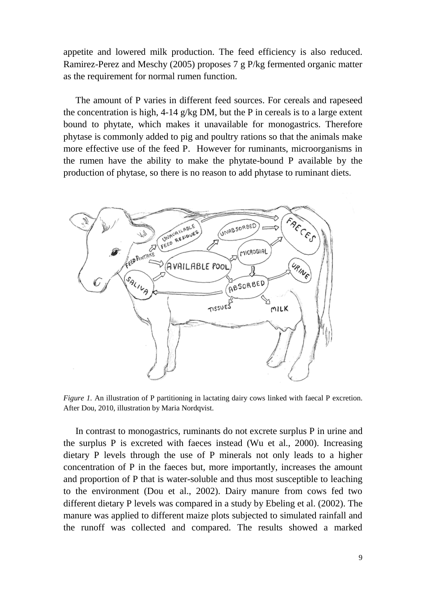appetite and lowered milk production. The feed efficiency is also reduced. Ramirez-Perez and Meschy (2005) proposes 7 g P/kg fermented organic matter as the requirement for normal rumen function.

The amount of P varies in different feed sources. For cereals and rapeseed the concentration is high,  $4-14$  g/kg DM, but the P in cereals is to a large extent bound to phytate, which makes it unavailable for monogastrics. Therefore phytase is commonly added to pig and poultry rations so that the animals make more effective use of the feed P. However for ruminants, microorganisms in the rumen have the ability to make the phytate-bound P available by the production of phytase, so there is no reason to add phytase to ruminant diets.



*Figure 1.* An illustration of P partitioning in lactating dairy cows linked with faecal P excretion. After Dou, 2010, illustration by Maria Nordqvist.

In contrast to monogastrics, ruminants do not excrete surplus P in urine and the surplus P is excreted with faeces instead (Wu et al., 2000). Increasing dietary P levels through the use of P minerals not only leads to a higher concentration of P in the faeces but, more importantly, increases the amount and proportion of P that is water-soluble and thus most susceptible to leaching to the environment (Dou et al., 2002). Dairy manure from cows fed two different dietary P levels was compared in a study by Ebeling et al. (2002). The manure was applied to different maize plots subjected to simulated rainfall and the runoff was collected and compared. The results showed a marked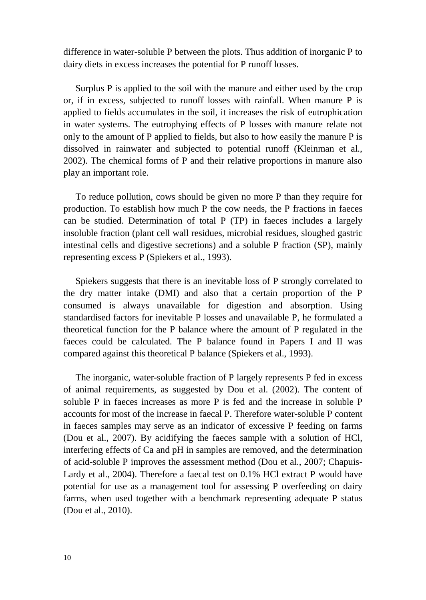difference in water-soluble P between the plots. Thus addition of inorganic P to dairy diets in excess increases the potential for P runoff losses.

Surplus P is applied to the soil with the manure and either used by the crop or, if in excess, subjected to runoff losses with rainfall. When manure P is applied to fields accumulates in the soil, it increases the risk of eutrophication in water systems. The eutrophying effects of P losses with manure relate not only to the amount of P applied to fields, but also to how easily the manure P is dissolved in rainwater and subjected to potential runoff (Kleinman et al., 2002). The chemical forms of P and their relative proportions in manure also play an important role.

To reduce pollution, cows should be given no more P than they require for production. To establish how much P the cow needs, the P fractions in faeces can be studied. Determination of total P (TP) in faeces includes a largely insoluble fraction (plant cell wall residues, microbial residues, sloughed gastric intestinal cells and digestive secretions) and a soluble P fraction (SP), mainly representing excess P (Spiekers et al., 1993).

Spiekers suggests that there is an inevitable loss of P strongly correlated to the dry matter intake (DMI) and also that a certain proportion of the P consumed is always unavailable for digestion and absorption. Using standardised factors for inevitable P losses and unavailable P, he formulated a theoretical function for the P balance where the amount of P regulated in the faeces could be calculated. The P balance found in Papers I and II was compared against this theoretical P balance (Spiekers et al., 1993).

The inorganic, water-soluble fraction of P largely represents P fed in excess of animal requirements, as suggested by Dou et al. (2002). The content of soluble P in faeces increases as more P is fed and the increase in soluble P accounts for most of the increase in faecal P. Therefore water-soluble P content in faeces samples may serve as an indicator of excessive P feeding on farms (Dou et al., 2007). By acidifying the faeces sample with a solution of HCl, interfering effects of Ca and pH in samples are removed, and the determination of acid-soluble P improves the assessment method (Dou et al., 2007; Chapuis-Lardy et al., 2004). Therefore a faecal test on 0.1% HCl extract P would have potential for use as a management tool for assessing P overfeeding on dairy farms, when used together with a benchmark representing adequate P status (Dou et al., 2010).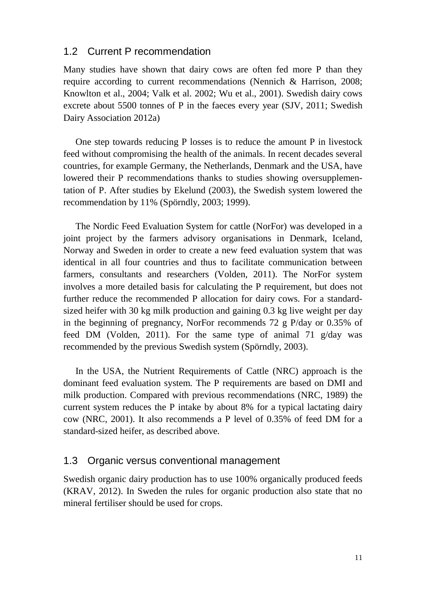### <span id="page-10-0"></span>1.2 Current P recommendation

Many studies have shown that dairy cows are often fed more P than they require according to current recommendations (Nennich & Harrison, 2008; Knowlton et al., 2004; Valk et al. 2002; Wu et al., 2001). Swedish dairy cows excrete about 5500 tonnes of P in the faeces every year (SJV, 2011; Swedish Dairy Association 2012a)

One step towards reducing P losses is to reduce the amount P in livestock feed without compromising the health of the animals. In recent decades several countries, for example Germany, the Netherlands, Denmark and the USA, have lowered their P recommendations thanks to studies showing oversupplementation of P. After studies by Ekelund (2003), the Swedish system lowered the recommendation by 11% (Spörndly, 2003; 1999).

The Nordic Feed Evaluation System for cattle (NorFor) was developed in a joint project by the farmers advisory organisations in Denmark, Iceland, Norway and Sweden in order to create a new feed evaluation system that was identical in all four countries and thus to facilitate communication between farmers, consultants and researchers (Volden, 2011). The NorFor system involves a more detailed basis for calculating the P requirement, but does not further reduce the recommended P allocation for dairy cows. For a standardsized heifer with 30 kg milk production and gaining 0.3 kg live weight per day in the beginning of pregnancy, NorFor recommends 72 g P/day or 0.35% of feed DM (Volden, 2011). For the same type of animal 71  $g/day$  was recommended by the previous Swedish system (Spörndly, 2003).

In the USA, the Nutrient Requirements of Cattle (NRC) approach is the dominant feed evaluation system. The P requirements are based on DMI and milk production. Compared with previous recommendations (NRC, 1989) the current system reduces the P intake by about 8% for a typical lactating dairy cow (NRC, 2001). It also recommends a P level of 0.35% of feed DM for a standard-sized heifer, as described above.

### <span id="page-10-1"></span>1.3 Organic versus conventional management

Swedish organic dairy production has to use 100% organically produced feeds (KRAV, 2012). In Sweden the rules for organic production also state that no mineral fertiliser should be used for crops.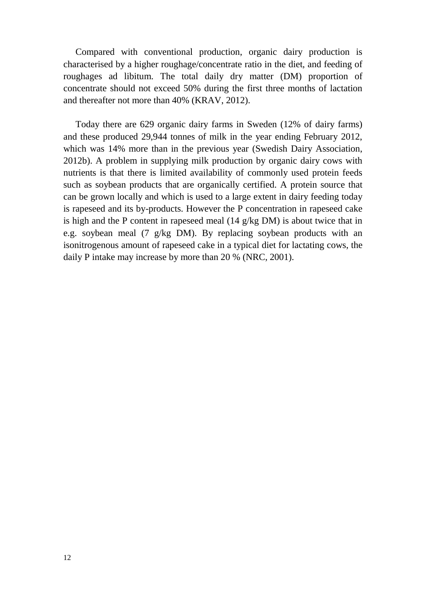Compared with conventional production, organic dairy production is characterised by a higher roughage/concentrate ratio in the diet, and feeding of roughages ad libitum. The total daily dry matter (DM) proportion of concentrate should not exceed 50% during the first three months of lactation and thereafter not more than 40% (KRAV, 2012).

Today there are 629 organic dairy farms in Sweden (12% of dairy farms) and these produced 29,944 tonnes of milk in the year ending February 2012, which was 14% more than in the previous year (Swedish Dairy Association, 2012b). A problem in supplying milk production by organic dairy cows with nutrients is that there is limited availability of commonly used protein feeds such as soybean products that are organically certified. A protein source that can be grown locally and which is used to a large extent in dairy feeding today is rapeseed and its by-products. However the P concentration in rapeseed cake is high and the P content in rapeseed meal (14 g/kg DM) is about twice that in e.g. soybean meal (7 g/kg DM). By replacing soybean products with an isonitrogenous amount of rapeseed cake in a typical diet for lactating cows, the daily P intake may increase by more than 20 % (NRC, 2001).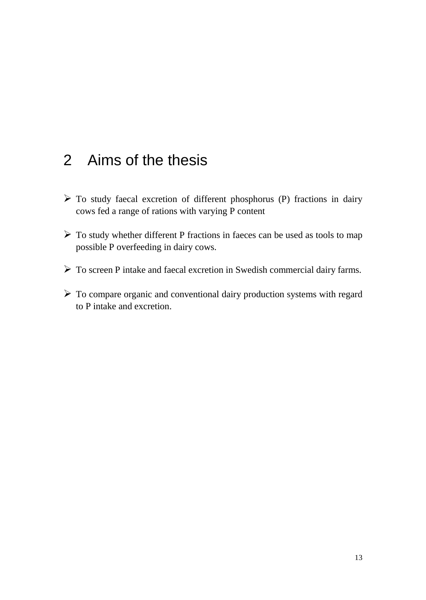## <span id="page-12-0"></span>2 Aims of the thesis

- $\triangleright$  To study faecal excretion of different phosphorus (P) fractions in dairy cows fed a range of rations with varying P content
- $\triangleright$  To study whether different P fractions in faeces can be used as tools to map possible P overfeeding in dairy cows.
- To screen P intake and faecal excretion in Swedish commercial dairy farms.
- To compare organic and conventional dairy production systems with regard to P intake and excretion.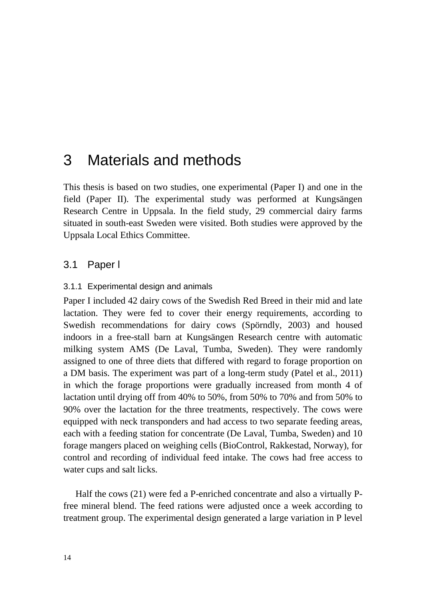## <span id="page-13-0"></span>3 Materials and methods

This thesis is based on two studies, one experimental (Paper I) and one in the field (Paper II). The experimental study was performed at Kungsängen Research Centre in Uppsala. In the field study, 29 commercial dairy farms situated in south-east Sweden were visited. Both studies were approved by the Uppsala Local Ethics Committee.

## <span id="page-13-1"></span>3.1 Paper l

#### <span id="page-13-2"></span>3.1.1 Experimental design and animals

Paper I included 42 dairy cows of the Swedish Red Breed in their mid and late lactation. They were fed to cover their energy requirements, according to Swedish recommendations for dairy cows (Spörndly, 2003) and housed indoors in a free-stall barn at Kungsängen Research centre with automatic milking system AMS (De Laval, Tumba, Sweden). They were randomly assigned to one of three diets that differed with regard to forage proportion on a DM basis. The experiment was part of a long-term study (Patel et al., 2011) in which the forage proportions were gradually increased from month 4 of lactation until drying off from 40% to 50%, from 50% to 70% and from 50% to 90% over the lactation for the three treatments, respectively. The cows were equipped with neck transponders and had access to two separate feeding areas, each with a feeding station for concentrate (De Laval, Tumba, Sweden) and 10 forage mangers placed on weighing cells (BioControl, Rakkestad, Norway), for control and recording of individual feed intake. The cows had free access to water cups and salt licks.

Half the cows (21) were fed a P-enriched concentrate and also a virtually Pfree mineral blend. The feed rations were adjusted once a week according to treatment group. The experimental design generated a large variation in P level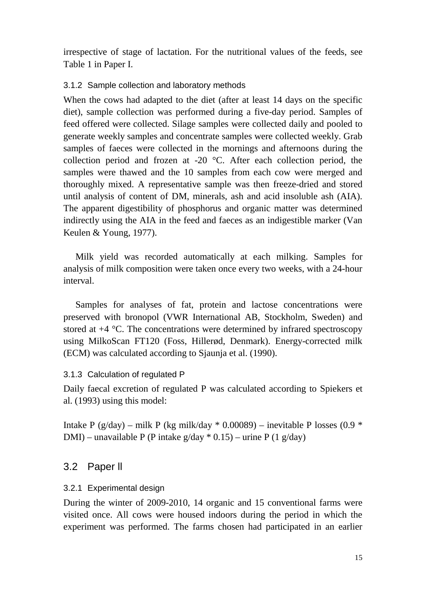irrespective of stage of lactation. For the nutritional values of the feeds, see Table 1 in Paper I.

### <span id="page-14-0"></span>3.1.2 Sample collection and laboratory methods

When the cows had adapted to the diet (after at least 14 days on the specific diet), sample collection was performed during a five-day period. Samples of feed offered were collected. Silage samples were collected daily and pooled to generate weekly samples and concentrate samples were collected weekly. Grab samples of faeces were collected in the mornings and afternoons during the collection period and frozen at -20 °C. After each collection period, the samples were thawed and the 10 samples from each cow were merged and thoroughly mixed. A representative sample was then freeze-dried and stored until analysis of content of DM, minerals, ash and acid insoluble ash (AIA). The apparent digestibility of phosphorus and organic matter was determined indirectly using the AIA in the feed and faeces as an indigestible marker (Van Keulen & Young, 1977).

Milk yield was recorded automatically at each milking. Samples for analysis of milk composition were taken once every two weeks, with a 24-hour interval.

Samples for analyses of fat, protein and lactose concentrations were preserved with bronopol (VWR International AB, Stockholm, Sweden) and stored at +4 °C. The concentrations were determined by infrared spectroscopy using MilkoScan FT120 (Foss, Hillerød, Denmark). Energy-corrected milk (ECM) was calculated according to Sjaunja et al. (1990).

### <span id="page-14-1"></span>3.1.3 Calculation of regulated P

Daily faecal excretion of regulated P was calculated according to Spiekers et al. (1993) using this model:

Intake P (g/day) – milk P (kg milk/day  $*$  0.00089) – inevitable P losses (0.9  $*$ DMI) – unavailable P (P intake  $g/day * 0.15$ ) – urine P (1  $g/day$ )

## <span id="page-14-2"></span>3.2 Paper ll

### <span id="page-14-3"></span>3.2.1 Experimental design

During the winter of 2009-2010, 14 organic and 15 conventional farms were visited once. All cows were housed indoors during the period in which the experiment was performed. The farms chosen had participated in an earlier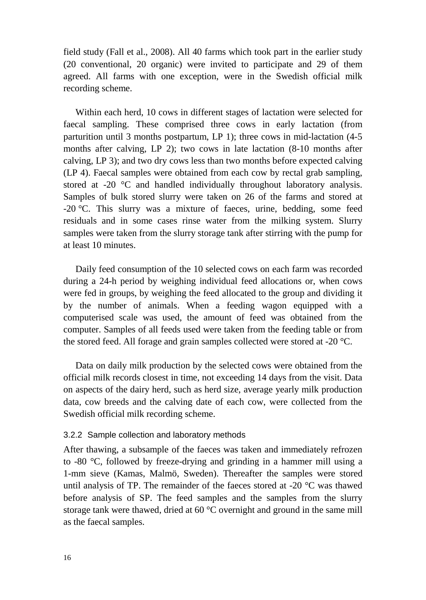field study (Fall et al., 2008). All 40 farms which took part in the earlier study (20 conventional, 20 organic) were invited to participate and 29 of them agreed. All farms with one exception, were in the Swedish official milk recording scheme.

Within each herd, 10 cows in different stages of lactation were selected for faecal sampling. These comprised three cows in early lactation (from parturition until 3 months postpartum, LP 1); three cows in mid-lactation (4-5 months after calving, LP 2); two cows in late lactation (8-10 months after calving, LP 3); and two dry cows less than two months before expected calving (LP 4). Faecal samples were obtained from each cow by rectal grab sampling, stored at -20 °C and handled individually throughout laboratory analysis. Samples of bulk stored slurry were taken on 26 of the farms and stored at -20 °C. This slurry was a mixture of faeces, urine, bedding, some feed residuals and in some cases rinse water from the milking system. Slurry samples were taken from the slurry storage tank after stirring with the pump for at least 10 minutes.

Daily feed consumption of the 10 selected cows on each farm was recorded during a 24-h period by weighing individual feed allocations or, when cows were fed in groups, by weighing the feed allocated to the group and dividing it by the number of animals. When a feeding wagon equipped with a computerised scale was used, the amount of feed was obtained from the computer. Samples of all feeds used were taken from the feeding table or from the stored feed. All forage and grain samples collected were stored at -20 °C.

Data on daily milk production by the selected cows were obtained from the official milk records closest in time, not exceeding 14 days from the visit. Data on aspects of the dairy herd, such as herd size, average yearly milk production data, cow breeds and the calving date of each cow, were collected from the Swedish official milk recording scheme.

#### <span id="page-15-0"></span>3.2.2 Sample collection and laboratory methods

After thawing, a subsample of the faeces was taken and immediately refrozen to -80 °C, followed by freeze-drying and grinding in a hammer mill using a 1-mm sieve (Kamas, Malmö, Sweden). Thereafter the samples were stored until analysis of TP. The remainder of the faeces stored at  $-20$  °C was thawed before analysis of SP. The feed samples and the samples from the slurry storage tank were thawed, dried at 60 °C overnight and ground in the same mill as the faecal samples.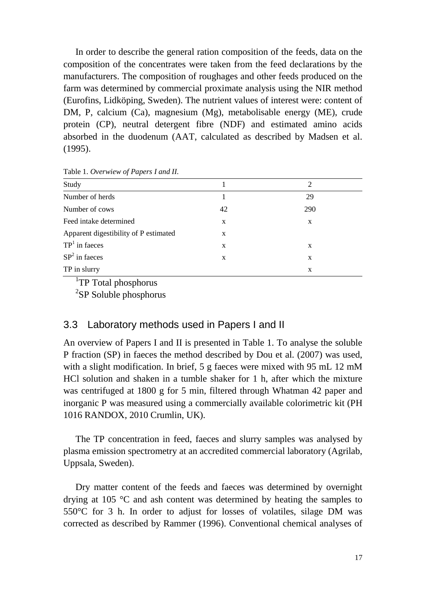In order to describe the general ration composition of the feeds, data on the composition of the concentrates were taken from the feed declarations by the manufacturers. The composition of roughages and other feeds produced on the farm was determined by commercial proximate analysis using the NIR method (Eurofins, Lidköping, Sweden). The nutrient values of interest were: content of DM, P, calcium (Ca), magnesium (Mg), metabolisable energy (ME), crude protein (CP), neutral detergent fibre (NDF) and estimated amino acids absorbed in the duodenum (AAT, calculated as described by Madsen et al. (1995).

| Study                                 |    | $\mathcal{D}_{\mathcal{L}}$ |
|---------------------------------------|----|-----------------------------|
| Number of herds                       |    | 29                          |
| Number of cows                        | 42 | 290                         |
| Feed intake determined                | X  | X                           |
| Apparent digestibility of P estimated | X  |                             |
| $TP1$ in faeces                       | X  | X                           |
| $SP2$ in faeces                       | X  | X                           |
| TP in slurry                          |    | X                           |

Table 1. *Overwiew of Papers I and II.*

<sup>1</sup>TP Total phosphorus

<span id="page-16-0"></span><sup>2</sup>SP Soluble phosphorus

### 3.3 Laboratory methods used in Papers I and II

An overview of Papers I and II is presented in Table 1. To analyse the soluble P fraction (SP) in faeces the method described by Dou et al. (2007) was used, with a slight modification. In brief, 5 g faeces were mixed with 95 mL 12 mM HCl solution and shaken in a tumble shaker for 1 h, after which the mixture was centrifuged at 1800 g for 5 min, filtered through Whatman 42 paper and inorganic P was measured using a commercially available colorimetric kit (PH 1016 RANDOX, 2010 Crumlin, UK).

The TP concentration in feed, faeces and slurry samples was analysed by plasma emission spectrometry at an accredited commercial laboratory (Agrilab, Uppsala, Sweden).

Dry matter content of the feeds and faeces was determined by overnight drying at 105 °C and ash content was determined by heating the samples to 550°C for 3 h. In order to adjust for losses of volatiles, silage DM was corrected as described by Rammer (1996). Conventional chemical analyses of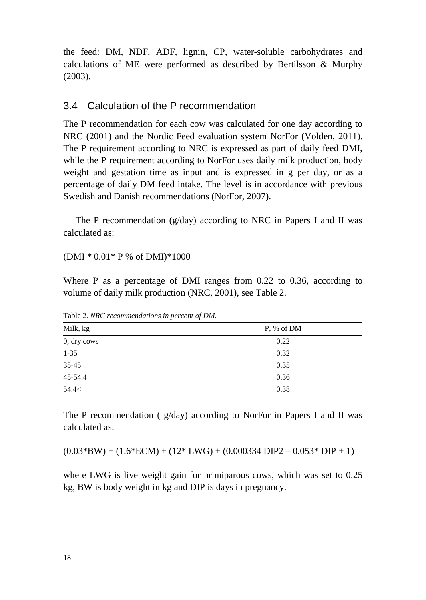the feed: DM, NDF, ADF, lignin, CP, water-soluble carbohydrates and calculations of ME were performed as described by Bertilsson & Murphy (2003).

### <span id="page-17-0"></span>3.4 Calculation of the P recommendation

The P recommendation for each cow was calculated for one day according to NRC (2001) and the Nordic Feed evaluation system NorFor (Volden, 2011). The P requirement according to NRC is expressed as part of daily feed DMI, while the P requirement according to NorFor uses daily milk production, body weight and gestation time as input and is expressed in g per day, or as a percentage of daily DM feed intake. The level is in accordance with previous Swedish and Danish recommendations (NorFor, 2007).

The P recommendation ( $g/day$ ) according to NRC in Papers I and II was calculated as:

(DMI \* 0.01\* P % of DMI)\*1000

Where P as a percentage of DMI ranges from 0.22 to 0.36, according to volume of daily milk production (NRC, 2001), see Table 2.

| Milk, kg    | P, % of DM |  |  |
|-------------|------------|--|--|
| 0, dry cows | 0.22       |  |  |
| $1 - 35$    | 0.32       |  |  |
| 35-45       | 0.35       |  |  |
| 45-54.4     | 0.36       |  |  |
| 54.4<       | 0.38       |  |  |

Table 2. *NRC recommendations in percent of DM.*

The P recommendation ( g/day) according to NorFor in Papers I and II was calculated as:

 $(0.03*BW) + (1.6*ECM) + (12*LWG) + (0.000334 DIP2 - 0.053* DIP + 1)$ 

where LWG is live weight gain for primiparous cows, which was set to 0.25 kg, BW is body weight in kg and DIP is days in pregnancy.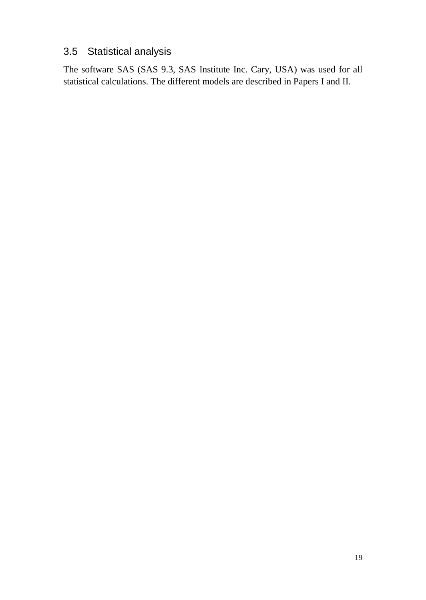## <span id="page-18-0"></span>3.5 Statistical analysis

The software SAS (SAS 9.3, SAS Institute Inc. Cary, USA) was used for all statistical calculations. The different models are described in Papers I and II.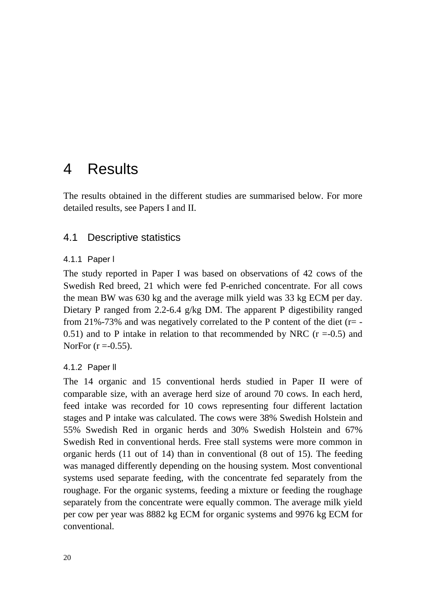## <span id="page-19-0"></span>4 Results

The results obtained in the different studies are summarised below. For more detailed results, see Papers I and II.

## <span id="page-19-1"></span>4.1 Descriptive statistics

#### <span id="page-19-2"></span>4.1.1 Paper l

The study reported in Paper I was based on observations of 42 cows of the Swedish Red breed, 21 which were fed P-enriched concentrate. For all cows the mean BW was 630 kg and the average milk yield was 33 kg ECM per day. Dietary P ranged from 2.2-6.4 g/kg DM. The apparent P digestibility ranged from 21%-73% and was negatively correlated to the P content of the diet ( $r=$  -0.51) and to P intake in relation to that recommended by NRC  $(r = 0.5)$  and NorFor  $(r = -0.55)$ .

### <span id="page-19-3"></span>4.1.2 Paper ll

The 14 organic and 15 conventional herds studied in Paper II were of comparable size, with an average herd size of around 70 cows. In each herd, feed intake was recorded for 10 cows representing four different lactation stages and P intake was calculated. The cows were 38% Swedish Holstein and 55% Swedish Red in organic herds and 30% Swedish Holstein and 67% Swedish Red in conventional herds. Free stall systems were more common in organic herds (11 out of 14) than in conventional (8 out of 15). The feeding was managed differently depending on the housing system. Most conventional systems used separate feeding, with the concentrate fed separately from the roughage. For the organic systems, feeding a mixture or feeding the roughage separately from the concentrate were equally common. The average milk yield per cow per year was 8882 kg ECM for organic systems and 9976 kg ECM for conventional.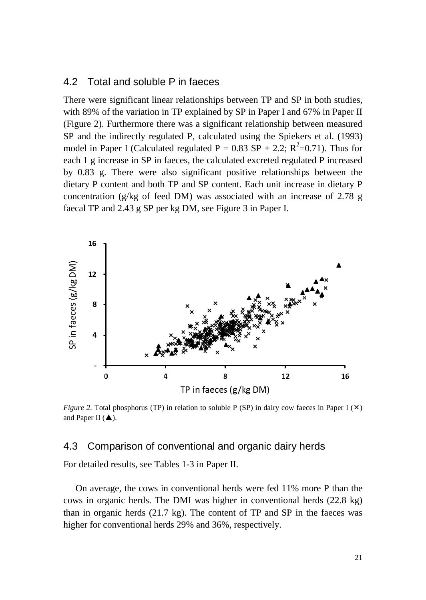### <span id="page-20-0"></span>4.2 Total and soluble P in faeces

There were significant linear relationships between TP and SP in both studies, with 89% of the variation in TP explained by SP in Paper I and 67% in Paper II (Figure 2). Furthermore there was a significant relationship between measured SP and the indirectly regulated P, calculated using the Spiekers et al. (1993) model in Paper I (Calculated regulated  $P = 0.83$  SP + 2.2;  $R^2 = 0.71$ ). Thus for each 1 g increase in SP in faeces, the calculated excreted regulated P increased by 0.83 g. There were also significant positive relationships between the dietary P content and both TP and SP content. Each unit increase in dietary P concentration (g/kg of feed DM) was associated with an increase of 2.78 g faecal TP and 2.43 g SP per kg DM, see Figure 3 in Paper I.



*Figure 2.* Total phosphorus (TP) in relation to soluble P (SP) in dairy cow faeces in Paper I ( $\times$ ) and Paper II  $(\triangle)$ .

#### <span id="page-20-1"></span>4.3 Comparison of conventional and organic dairy herds

For detailed results, see Tables 1-3 in Paper II.

On average, the cows in conventional herds were fed 11% more P than the cows in organic herds. The DMI was higher in conventional herds (22.8 kg) than in organic herds (21.7 kg). The content of TP and SP in the faeces was higher for conventional herds 29% and 36%, respectively.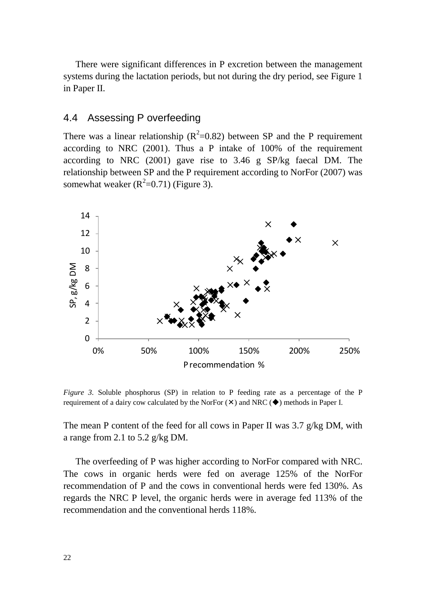There were significant differences in P excretion between the management systems during the lactation periods, but not during the dry period, see Figure 1 in Paper II.

## <span id="page-21-0"></span>4.4 Assessing P overfeeding

There was a linear relationship ( $R^2$ =0.82) between SP and the P requirement according to NRC (2001). Thus a P intake of 100% of the requirement according to NRC (2001) gave rise to 3.46 g SP/kg faecal DM. The relationship between SP and the P requirement according to NorFor (2007) was somewhat weaker  $(R^2=0.71)$  (Figure 3).



*Figure 3.* Soluble phosphorus (SP) in relation to P feeding rate as a percentage of the P requirement of a dairy cow calculated by the NorFor  $(\times)$  and NRC  $(\blacklozenge)$  methods in Paper I.

The mean P content of the feed for all cows in Paper II was 3.7 g/kg DM, with a range from 2.1 to 5.2 g/kg DM.

The overfeeding of P was higher according to NorFor compared with NRC. The cows in organic herds were fed on average 125% of the NorFor recommendation of P and the cows in conventional herds were fed 130%. As regards the NRC P level, the organic herds were in average fed 113% of the recommendation and the conventional herds 118%.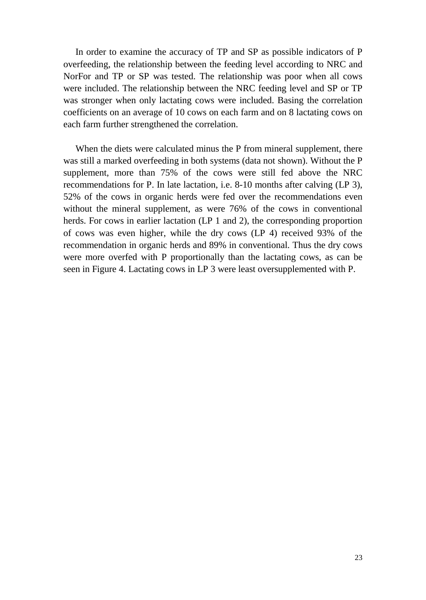In order to examine the accuracy of TP and SP as possible indicators of P overfeeding, the relationship between the feeding level according to NRC and NorFor and TP or SP was tested. The relationship was poor when all cows were included. The relationship between the NRC feeding level and SP or TP was stronger when only lactating cows were included. Basing the correlation coefficients on an average of 10 cows on each farm and on 8 lactating cows on each farm further strengthened the correlation.

When the diets were calculated minus the P from mineral supplement, there was still a marked overfeeding in both systems (data not shown). Without the P supplement, more than 75% of the cows were still fed above the NRC recommendations for P. In late lactation, i.e. 8-10 months after calving (LP 3), 52% of the cows in organic herds were fed over the recommendations even without the mineral supplement, as were 76% of the cows in conventional herds. For cows in earlier lactation (LP 1 and 2), the corresponding proportion of cows was even higher, while the dry cows (LP 4) received 93% of the recommendation in organic herds and 89% in conventional. Thus the dry cows were more overfed with P proportionally than the lactating cows, as can be seen in Figure 4. Lactating cows in LP 3 were least oversupplemented with P.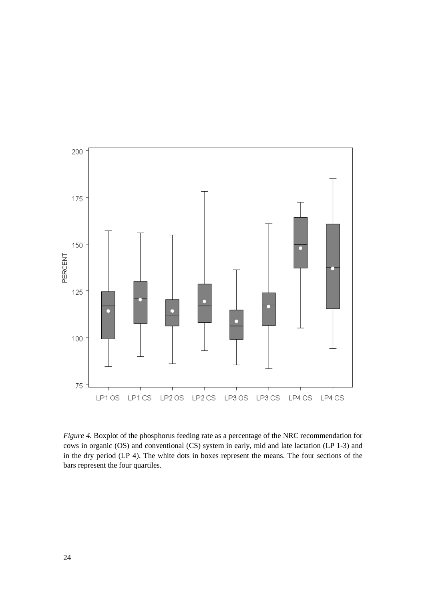

*Figure 4.* Boxplot of the phosphorus feeding rate as a percentage of the NRC recommendation for cows in organic (OS) and conventional (CS) system in early, mid and late lactation (LP 1-3) and in the dry period (LP 4). The white dots in boxes represent the means. The four sections of the bars represent the four quartiles.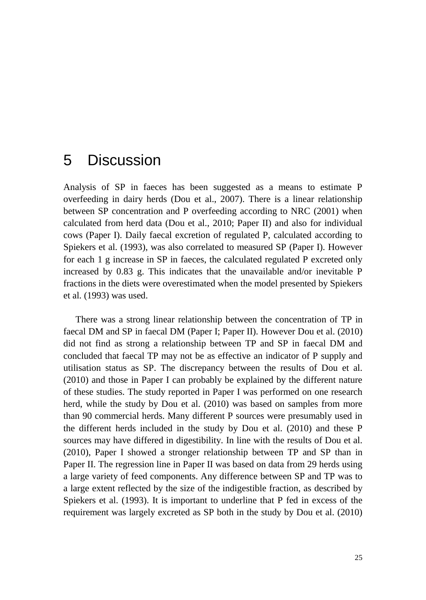## <span id="page-24-0"></span>5 Discussion

Analysis of SP in faeces has been suggested as a means to estimate P overfeeding in dairy herds (Dou et al., 2007). There is a linear relationship between SP concentration and P overfeeding according to NRC (2001) when calculated from herd data (Dou et al., 2010; Paper II) and also for individual cows (Paper I). Daily faecal excretion of regulated P, calculated according to Spiekers et al. (1993), was also correlated to measured SP (Paper I). However for each 1 g increase in SP in faeces, the calculated regulated P excreted only increased by 0.83 g. This indicates that the unavailable and/or inevitable P fractions in the diets were overestimated when the model presented by Spiekers et al. (1993) was used.

There was a strong linear relationship between the concentration of TP in faecal DM and SP in faecal DM (Paper I; Paper II). However Dou et al. (2010) did not find as strong a relationship between TP and SP in faecal DM and concluded that faecal TP may not be as effective an indicator of P supply and utilisation status as SP. The discrepancy between the results of Dou et al. (2010) and those in Paper I can probably be explained by the different nature of these studies. The study reported in Paper I was performed on one research herd, while the study by Dou et al. (2010) was based on samples from more than 90 commercial herds. Many different P sources were presumably used in the different herds included in the study by Dou et al. (2010) and these P sources may have differed in digestibility. In line with the results of Dou et al. (2010), Paper I showed a stronger relationship between TP and SP than in Paper II. The regression line in Paper II was based on data from 29 herds using a large variety of feed components. Any difference between SP and TP was to a large extent reflected by the size of the indigestible fraction, as described by Spiekers et al. (1993). It is important to underline that P fed in excess of the requirement was largely excreted as SP both in the study by Dou et al. (2010)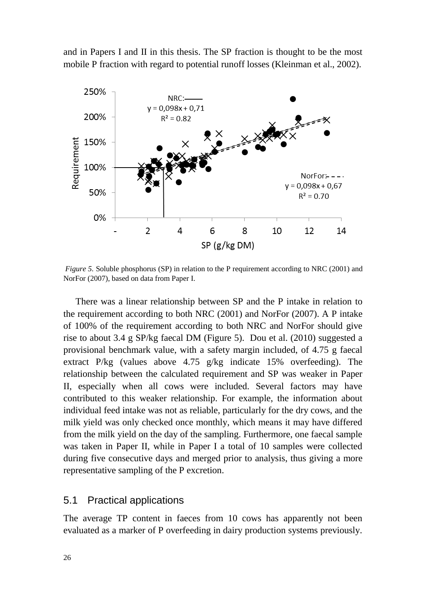and in Papers I and II in this thesis. The SP fraction is thought to be the most mobile P fraction with regard to potential runoff losses (Kleinman et al., 2002).



*Figure 5.* Soluble phosphorus (SP) in relation to the P requirement according to NRC (2001) and NorFor (2007), based on data from Paper I.

There was a linear relationship between SP and the P intake in relation to the requirement according to both NRC (2001) and NorFor (2007). A P intake of 100% of the requirement according to both NRC and NorFor should give rise to about 3.4 g SP/kg faecal DM (Figure 5). Dou et al. (2010) suggested a provisional benchmark value, with a safety margin included, of 4.75 g faecal extract P/kg (values above 4.75 g/kg indicate 15% overfeeding). The relationship between the calculated requirement and SP was weaker in Paper II, especially when all cows were included. Several factors may have contributed to this weaker relationship. For example, the information about individual feed intake was not as reliable, particularly for the dry cows, and the milk yield was only checked once monthly, which means it may have differed from the milk yield on the day of the sampling. Furthermore, one faecal sample was taken in Paper II, while in Paper I a total of 10 samples were collected during five consecutive days and merged prior to analysis, thus giving a more representative sampling of the P excretion.

### <span id="page-25-0"></span>5.1 Practical applications

The average TP content in faeces from 10 cows has apparently not been evaluated as a marker of P overfeeding in dairy production systems previously.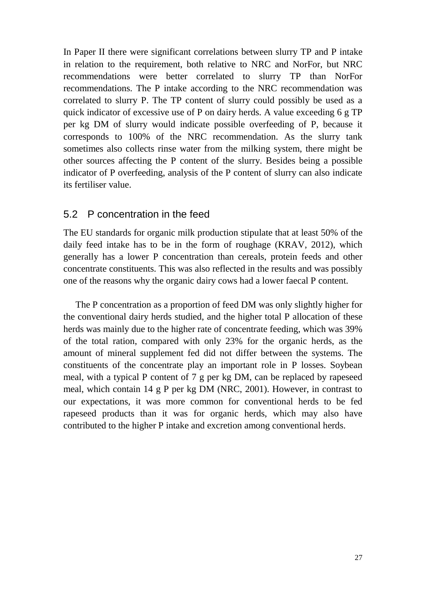In Paper II there were significant correlations between slurry TP and P intake in relation to the requirement, both relative to NRC and NorFor, but NRC recommendations were better correlated to slurry TP than NorFor recommendations. The P intake according to the NRC recommendation was correlated to slurry P. The TP content of slurry could possibly be used as a quick indicator of excessive use of P on dairy herds. A value exceeding  $6 \text{ g} \text{TP}$ per kg DM of slurry would indicate possible overfeeding of P, because it corresponds to 100% of the NRC recommendation. As the slurry tank sometimes also collects rinse water from the milking system, there might be other sources affecting the P content of the slurry. Besides being a possible indicator of P overfeeding, analysis of the P content of slurry can also indicate its fertiliser value.

## <span id="page-26-0"></span>5.2 P concentration in the feed

The EU standards for organic milk production stipulate that at least 50% of the daily feed intake has to be in the form of roughage (KRAV, 2012), which generally has a lower P concentration than cereals, protein feeds and other concentrate constituents. This was also reflected in the results and was possibly one of the reasons why the organic dairy cows had a lower faecal P content.

The P concentration as a proportion of feed DM was only slightly higher for the conventional dairy herds studied, and the higher total P allocation of these herds was mainly due to the higher rate of concentrate feeding, which was 39% of the total ration, compared with only 23% for the organic herds, as the amount of mineral supplement fed did not differ between the systems. The constituents of the concentrate play an important role in P losses. Soybean meal, with a typical P content of 7 g per kg DM, can be replaced by rapeseed meal, which contain 14 g P per kg DM (NRC, 2001). However, in contrast to our expectations, it was more common for conventional herds to be fed rapeseed products than it was for organic herds, which may also have contributed to the higher P intake and excretion among conventional herds.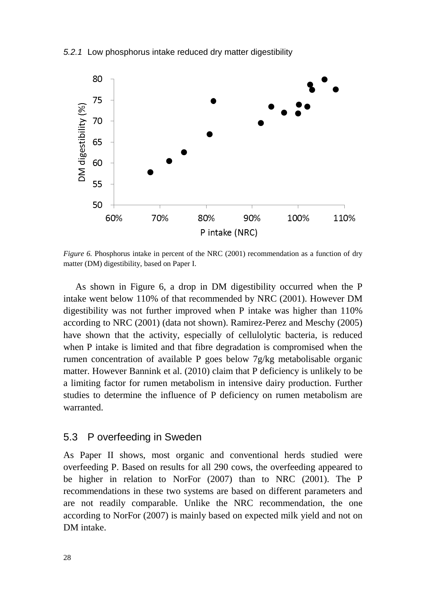#### <span id="page-27-0"></span>*5.2.1* Low phosphorus intake reduced dry matter digestibility



*Figure 6.* Phosphorus intake in percent of the NRC (2001) recommendation as a function of dry matter (DM) digestibility, based on Paper I.

As shown in Figure 6, a drop in DM digestibility occurred when the P intake went below 110% of that recommended by NRC (2001). However DM digestibility was not further improved when P intake was higher than 110% according to NRC (2001) (data not shown). Ramirez-Perez and Meschy (2005) have shown that the activity, especially of cellulolytic bacteria, is reduced when P intake is limited and that fibre degradation is compromised when the rumen concentration of available P goes below 7g/kg metabolisable organic matter. However Bannink et al. (2010) claim that P deficiency is unlikely to be a limiting factor for rumen metabolism in intensive dairy production. Further studies to determine the influence of P deficiency on rumen metabolism are warranted.

### <span id="page-27-1"></span>5.3 P overfeeding in Sweden

As Paper II shows, most organic and conventional herds studied were overfeeding P. Based on results for all 290 cows, the overfeeding appeared to be higher in relation to NorFor (2007) than to NRC (2001). The P recommendations in these two systems are based on different parameters and are not readily comparable. Unlike the NRC recommendation, the one according to NorFor (2007) is mainly based on expected milk yield and not on DM intake.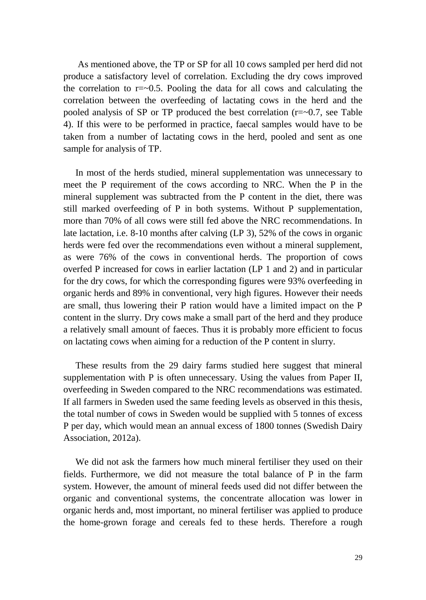As mentioned above, the TP or SP for all 10 cows sampled per herd did not produce a satisfactory level of correlation. Excluding the dry cows improved the correlation to  $r = 0.5$ . Pooling the data for all cows and calculating the correlation between the overfeeding of lactating cows in the herd and the pooled analysis of SP or TP produced the best correlation  $(r=-0.7$ , see Table 4). If this were to be performed in practice, faecal samples would have to be taken from a number of lactating cows in the herd, pooled and sent as one sample for analysis of TP.

In most of the herds studied, mineral supplementation was unnecessary to meet the P requirement of the cows according to NRC. When the P in the mineral supplement was subtracted from the P content in the diet, there was still marked overfeeding of P in both systems. Without P supplementation, more than 70% of all cows were still fed above the NRC recommendations. In late lactation, i.e. 8-10 months after calving (LP 3), 52% of the cows in organic herds were fed over the recommendations even without a mineral supplement, as were 76% of the cows in conventional herds. The proportion of cows overfed P increased for cows in earlier lactation (LP 1 and 2) and in particular for the dry cows, for which the corresponding figures were 93% overfeeding in organic herds and 89% in conventional, very high figures. However their needs are small, thus lowering their P ration would have a limited impact on the P content in the slurry. Dry cows make a small part of the herd and they produce a relatively small amount of faeces. Thus it is probably more efficient to focus on lactating cows when aiming for a reduction of the P content in slurry.

These results from the 29 dairy farms studied here suggest that mineral supplementation with P is often unnecessary. Using the values from Paper II, overfeeding in Sweden compared to the NRC recommendations was estimated. If all farmers in Sweden used the same feeding levels as observed in this thesis, the total number of cows in Sweden would be supplied with 5 tonnes of excess P per day, which would mean an annual excess of 1800 tonnes (Swedish Dairy Association, 2012a).

We did not ask the farmers how much mineral fertiliser they used on their fields. Furthermore, we did not measure the total balance of P in the farm system. However, the amount of mineral feeds used did not differ between the organic and conventional systems, the concentrate allocation was lower in organic herds and, most important, no mineral fertiliser was applied to produce the home-grown forage and cereals fed to these herds. Therefore a rough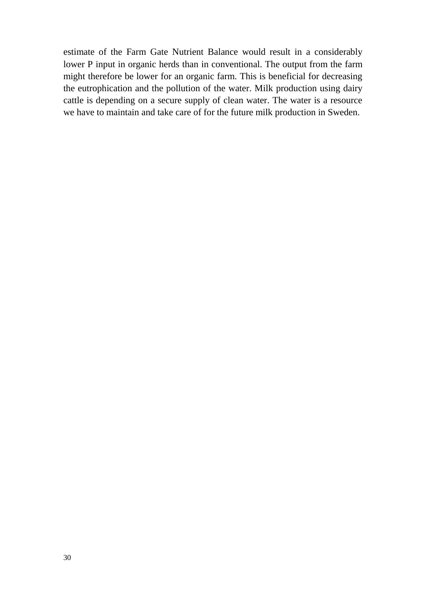estimate of the Farm Gate Nutrient Balance would result in a considerably lower P input in organic herds than in conventional. The output from the farm might therefore be lower for an organic farm. This is beneficial for decreasing the eutrophication and the pollution of the water. Milk production using dairy cattle is depending on a secure supply of clean water. The water is a resource we have to maintain and take care of for the future milk production in Sweden.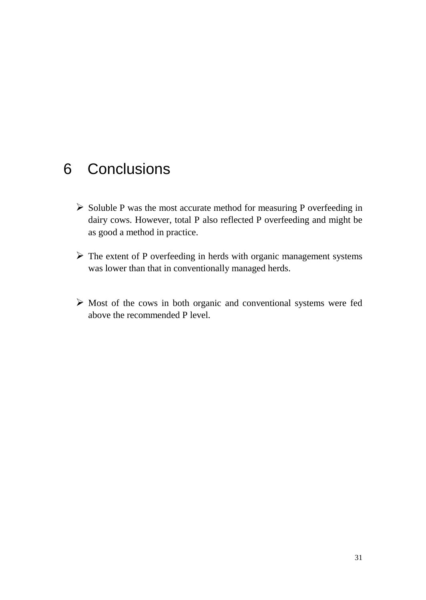## <span id="page-30-0"></span>6 Conclusions

- $\triangleright$  Soluble P was the most accurate method for measuring P overfeeding in dairy cows. However, total P also reflected P overfeeding and might be as good a method in practice.
- $\triangleright$  The extent of P overfeeding in herds with organic management systems was lower than that in conventionally managed herds.
- $\triangleright$  Most of the cows in both organic and conventional systems were fed above the recommended P level.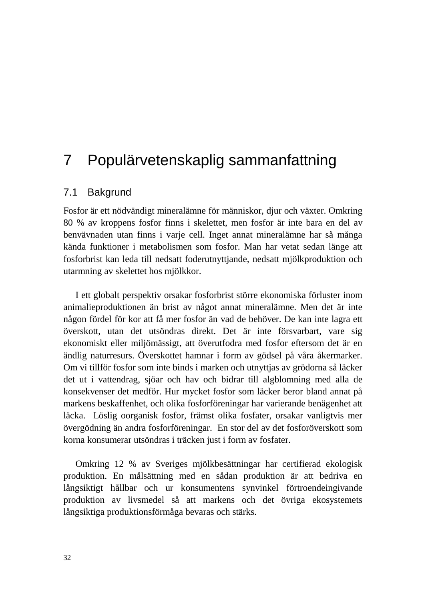## <span id="page-31-0"></span>7 Populärvetenskaplig sammanfattning

### <span id="page-31-1"></span>7.1 Bakgrund

Fosfor är ett nödvändigt mineralämne för människor, djur och växter. Omkring 80 % av kroppens fosfor finns i skelettet, men fosfor är inte bara en del av benvävnaden utan finns i varje cell. Inget annat mineralämne har så många kända funktioner i metabolismen som fosfor. Man har vetat sedan länge att fosforbrist kan leda till nedsatt foderutnyttjande, nedsatt mjölkproduktion och utarmning av skelettet hos mjölkkor.

I ett globalt perspektiv orsakar fosforbrist större ekonomiska förluster inom animalieproduktionen än brist av något annat mineralämne. Men det är inte någon fördel för kor att få mer fosfor än vad de behöver. De kan inte lagra ett överskott, utan det utsöndras direkt. Det är inte försvarbart, vare sig ekonomiskt eller miljömässigt, att överutfodra med fosfor eftersom det är en ändlig naturresurs. Överskottet hamnar i form av gödsel på våra åkermarker. Om vi tillför fosfor som inte binds i marken och utnyttjas av grödorna så läcker det ut i vattendrag, sjöar och hav och bidrar till algblomning med alla de konsekvenser det medför. Hur mycket fosfor som läcker beror bland annat på markens beskaffenhet, och olika fosforföreningar har varierande benägenhet att läcka. Löslig oorganisk fosfor, främst olika fosfater, orsakar vanligtvis mer övergödning än andra fosforföreningar. En stor del av det fosforöverskott som korna konsumerar utsöndras i träcken just i form av fosfater.

Omkring 12 % av Sveriges mjölkbesättningar har certifierad ekologisk produktion. En målsättning med en sådan produktion är att bedriva en långsiktigt hållbar och ur konsumentens synvinkel förtroendeingivande produktion av livsmedel så att markens och det övriga ekosystemets långsiktiga produktionsförmåga bevaras och stärks.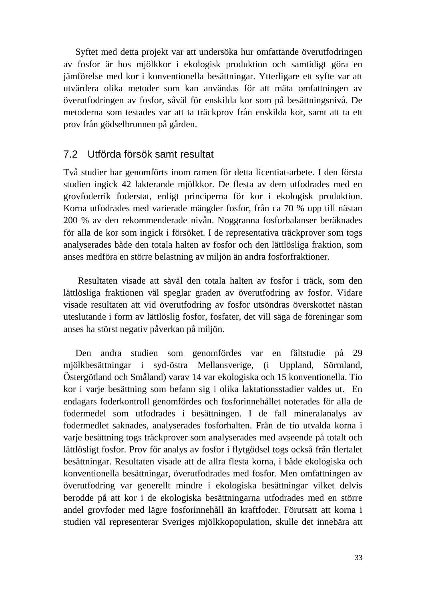Syftet med detta projekt var att undersöka hur omfattande överutfodringen av fosfor är hos mjölkkor i ekologisk produktion och samtidigt göra en jämförelse med kor i konventionella besättningar. Ytterligare ett syfte var att utvärdera olika metoder som kan användas för att mäta omfattningen av överutfodringen av fosfor, såväl för enskilda kor som på besättningsnivå. De metoderna som testades var att ta träckprov från enskilda kor, samt att ta ett prov från gödselbrunnen på gården.

### <span id="page-32-0"></span>7.2 Utförda försök samt resultat

Två studier har genomförts inom ramen för detta licentiat-arbete. I den första studien ingick 42 lakterande mjölkkor. De flesta av dem utfodrades med en grovfoderrik foderstat, enligt principerna för kor i ekologisk produktion. Korna utfodrades med varierade mängder fosfor, från ca 70 % upp till nästan 200 % av den rekommenderade nivån. Noggranna fosforbalanser beräknades för alla de kor som ingick i försöket. I de representativa träckprover som togs analyserades både den totala halten av fosfor och den lättlösliga fraktion, som anses medföra en större belastning av miljön än andra fosforfraktioner.

Resultaten visade att såväl den totala halten av fosfor i träck, som den lättlösliga fraktionen väl speglar graden av överutfodring av fosfor. Vidare visade resultaten att vid överutfodring av fosfor utsöndras överskottet nästan uteslutande i form av lättlöslig fosfor, fosfater, det vill säga de föreningar som anses ha störst negativ påverkan på miljön.

Den andra studien som genomfördes var en fältstudie på 29 mjölkbesättningar i syd-östra Mellansverige, (i Uppland, Sörmland, Östergötland och Småland) varav 14 var ekologiska och 15 konventionella. Tio kor i varje besättning som befann sig i olika laktationsstadier valdes ut. En endagars foderkontroll genomfördes och fosforinnehållet noterades för alla de fodermedel som utfodrades i besättningen. I de fall mineralanalys av fodermedlet saknades, analyserades fosforhalten. Från de tio utvalda korna i varje besättning togs träckprover som analyserades med avseende på totalt och lättlösligt fosfor. Prov för analys av fosfor i flytgödsel togs också från flertalet besättningar. Resultaten visade att de allra flesta korna, i både ekologiska och konventionella besättningar, överutfodrades med fosfor. Men omfattningen av överutfodring var generellt mindre i ekologiska besättningar vilket delvis berodde på att kor i de ekologiska besättningarna utfodrades med en större andel grovfoder med lägre fosforinnehåll än kraftfoder. Förutsatt att korna i studien väl representerar Sveriges mjölkkopopulation, skulle det innebära att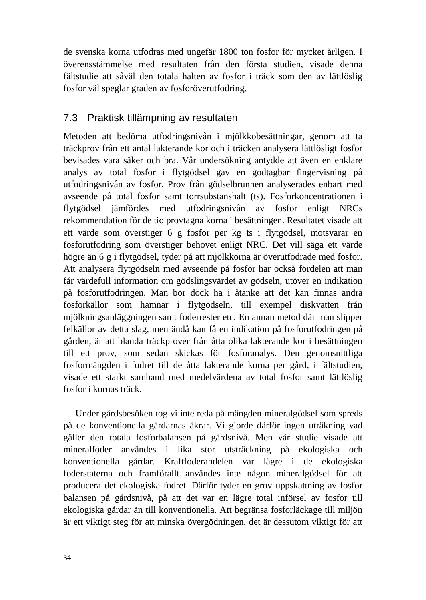de svenska korna utfodras med ungefär 1800 ton fosfor för mycket årligen. I överensstämmelse med resultaten från den första studien, visade denna fältstudie att såväl den totala halten av fosfor i träck som den av lättlöslig fosfor väl speglar graden av fosforöverutfodring.

## <span id="page-33-0"></span>7.3 Praktisk tillämpning av resultaten

Metoden att bedöma utfodringsnivån i mjölkkobesättningar, genom att ta träckprov från ett antal lakterande kor och i träcken analysera lättlösligt fosfor bevisades vara säker och bra. Vår undersökning antydde att även en enklare analys av total fosfor i flytgödsel gav en godtagbar fingervisning på utfodringsnivån av fosfor. Prov från gödselbrunnen analyserades enbart med avseende på total fosfor samt torrsubstanshalt (ts). Fosforkoncentrationen i flytgödsel jämfördes med utfodringsnivån av fosfor enligt NRCs rekommendation för de tio provtagna korna i besättningen. Resultatet visade att ett värde som överstiger 6 g fosfor per kg ts i flytgödsel, motsvarar en fosforutfodring som överstiger behovet enligt NRC. Det vill säga ett värde högre än 6 g i flytgödsel, tyder på att mjölkkorna är överutfodrade med fosfor. Att analysera flytgödseln med avseende på fosfor har också fördelen att man får värdefull information om gödslingsvärdet av gödseln, utöver en indikation på fosforutfodringen. Man bör dock ha i åtanke att det kan finnas andra fosforkällor som hamnar i flytgödseln, till exempel diskvatten från mjölkningsanläggningen samt foderrester etc. En annan metod där man slipper felkällor av detta slag, men ändå kan få en indikation på fosforutfodringen på gården, är att blanda träckprover från åtta olika lakterande kor i besättningen till ett prov, som sedan skickas för fosforanalys. Den genomsnittliga fosformängden i fodret till de åtta lakterande korna per gård, i fältstudien, visade ett starkt samband med medelvärdena av total fosfor samt lättlöslig fosfor i kornas träck.

Under gårdsbesöken tog vi inte reda på mängden mineralgödsel som spreds på de konventionella gårdarnas åkrar. Vi gjorde därför ingen uträkning vad gäller den totala fosforbalansen på gårdsnivå. Men vår studie visade att mineralfoder användes i lika stor utsträckning på ekologiska och konventionella gårdar. Kraftfoderandelen var lägre i de ekologiska foderstaterna och framförallt användes inte någon mineralgödsel för att producera det ekologiska fodret. Därför tyder en grov uppskattning av fosfor balansen på gårdsnivå, på att det var en lägre total införsel av fosfor till ekologiska gårdar än till konventionella. Att begränsa fosforläckage till miljön är ett viktigt steg för att minska övergödningen, det är dessutom viktigt för att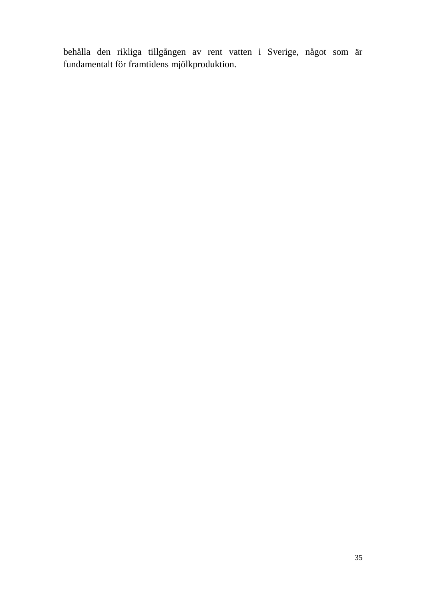behålla den rikliga tillgången av rent vatten i Sverige, något som är fundamentalt för framtidens mjölkproduktion.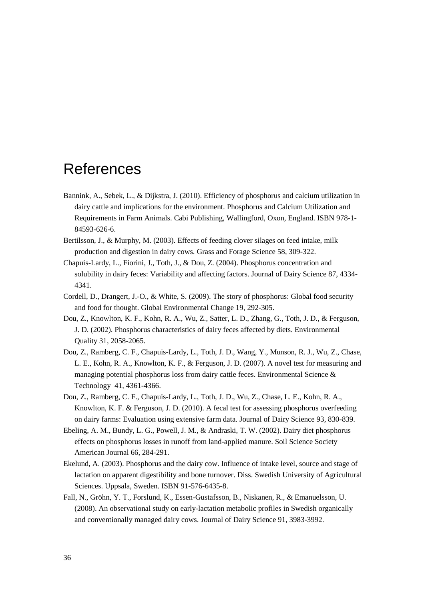## <span id="page-35-0"></span>References

- Bannink, A., Sebek, L., & Dijkstra, J. (2010). Efficiency of phosphorus and calcium utilization in dairy cattle and implications for the environment. Phosphorus and Calcium Utilization and Requirements in Farm Animals. Cabi Publishing, Wallingford, Oxon, England. ISBN 978-1- 84593-626-6.
- Bertilsson, J., & Murphy, M. (2003). Effects of feeding clover silages on feed intake, milk production and digestion in dairy cows. Grass and Forage Science 58, 309-322.
- Chapuis-Lardy, L., Fiorini, J., Toth, J., & Dou, Z. (2004). Phosphorus concentration and solubility in dairy feces: Variability and affecting factors. Journal of Dairy Science 87, 4334- 4341.
- Cordell, D., Drangert, J.-O., & White, S. (2009). The story of phosphorus: Global food security and food for thought. Global Environmental Change 19, 292-305.
- Dou, Z., Knowlton, K. F., Kohn, R. A., Wu, Z., Satter, L. D., Zhang, G., Toth, J. D., & Ferguson, J. D. (2002). Phosphorus characteristics of dairy feces affected by diets. Environmental Quality 31, 2058-2065.
- Dou, Z., Ramberg, C. F., Chapuis-Lardy, L., Toth, J. D., Wang, Y., Munson, R. J., Wu, Z., Chase, L. E., Kohn, R. A., Knowlton, K. F., & Ferguson, J. D. (2007). A novel test for measuring and managing potential phosphorus loss from dairy cattle feces. Environmental Science & Technology 41, 4361-4366.
- Dou, Z., Ramberg, C. F., Chapuis-Lardy, L., Toth, J. D., Wu, Z., Chase, L. E., Kohn, R. A., Knowlton, K. F. & Ferguson, J. D. (2010). A fecal test for assessing phosphorus overfeeding on dairy farms: Evaluation using extensive farm data. Journal of Dairy Science 93, 830-839.
- Ebeling, A. M., Bundy, L. G., Powell, J. M., & Andraski, T. W. (2002). Dairy diet phosphorus effects on phosphorus losses in runoff from land-applied manure. Soil Science Society American Journal 66, 284-291.
- Ekelund, A. (2003). Phosphorus and the dairy cow. Influence of intake level, source and stage of lactation on apparent digestibility and bone turnover. Diss. Swedish University of Agricultural Sciences. Uppsala, Sweden. ISBN 91-576-6435-8.
- Fall, N., Gröhn, Y. T., Forslund, K., Essen-Gustafsson, B., Niskanen, R., & Emanuelsson, U. (2008). An observational study on early-lactation metabolic profiles in Swedish organically and conventionally managed dairy cows. Journal of Dairy Science 91, 3983-3992.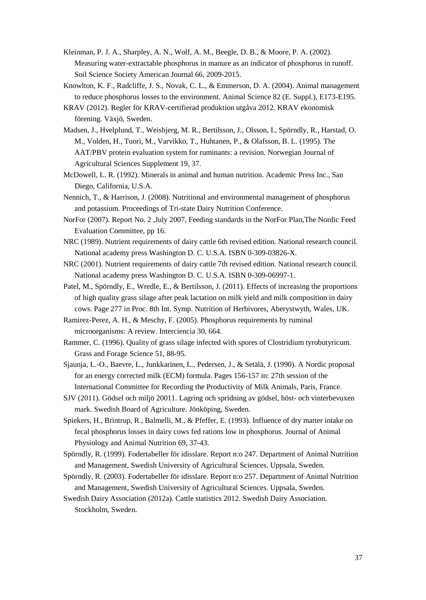- Kleinman, P. J. A., Sharpley, A. N., Wolf, A. M., Beegle, D. B., & Moore, P. A. (2002). Measuring water-extractable phosphorus in manure as an indicator of phosphorus in runoff. Soil Science Society American Journal 66, 2009-2015.
- Knowlton, K. F., Radcliffe, J. S., Novak, C. L., & Emmerson, D. A. (2004). Animal management to reduce phosphorus losses to the environment. Animal Science 82 (E. Suppl.), E173-E195.
- KRAV (2012). Regler för KRAV-certifierad produktion utgåva 2012. KRAV ekonomisk förening. Växjö, Sweden.
- Madsen, J., Hvelplund, T., Weisbjerg, M. R., Bertilsson, J., Olsson, I., Spörndly, R., Harstad, O. M., Volden, H., Tuori, M., Varvikko, T., Huhtanen, P., & Olafsson, B. L. (1995). The AAT/PBV protein evaluation system for ruminants: a revision. Norwegian Journal of Agricultural Sciences Supplement 19, 37.
- McDowell, L. R. (1992). Minerals in animal and human nutrition. Academic Press Inc., San Diego, California, U.S.A.
- Nennich, T., & Harrison, J. (2008). Nutritional and environmental management of phosphorus and potassium. Proceedings of Tri-state Dairy Nutrition Conference.
- NorFor (2007). Report No. 2 ,July 2007, Feeding standards in the NorFor Plan,The Nordic Feed Evaluation Committee, pp 16.
- NRC (1989). Nutrient requirements of dairy cattle 6th revised edition. National research council. National academy press Washington D. C. U.S.A. ISBN 0-309-03826-X.
- NRC (2001). Nutrient requirements of dairy cattle 7th revised edition. National research council. National academy press Washington D. C. U.S.A. ISBN 0-309-06997-1.
- Patel, M., Spörndly, E., Wredle, E., & Bertilsson, J. (2011). Effects of increasing the proportions of high quality grass silage after peak lactation on milk yield and milk composition in dairy cows. Page 277 in Proc. 8th Int. Symp. Nutrition of Herbivores, Aberystwyth, Wales, UK.
- Ramirez-Perez, A. H., & Meschy, F. (2005). Phosphorus requirements by ruminal microorganisms: A review. Interciencia 30, 664.
- Rammer, C. (1996). Quality of grass silage infected with spores of Clostridium tyrobutyricum. Grass and Forage Science 51, 88-95.
- Sjaunja, L.-O., Baevre, L., Junkkarinen, L., Pedersen, J., & Setälä, J. (1990). A Nordic proposal for an energy corrected milk (ECM) formula. Pages 156-157 in: 27th session of the International Committee for Recording the Productivity of Milk Animals, Paris, France.
- SJV (2011). Gödsel och miljö 20011. Lagring och spridning av gödsel, höst- och vinterbevuxen mark. Swedish Board of Agriculture. Jönköping, Sweden.
- Spiekers, H., Brintrup, R., Balmelli, M., & Pfeffer, E. (1993). Influence of dry matter intake on fecal phosphorus losses in dairy cows fed rations low in phosphorus. Journal of Animal Physiology and Animal Nutrition 69, 37-43.
- Spörndly, R. (1999). Fodertabeller för idisslare. Report n:o 247. Department of Animal Nutrition and Management, Swedish University of Agricultural Sciences. Uppsala, Sweden.
- Spörndly, R. (2003). Fodertabeller för idisslare. Report n:o 257. Department of Animal Nutrition and Management, Swedish University of Agricultural Sciences. Uppsala, Sweden.
- Swedish Dairy Association (2012a). Cattle statistics 2012. Swedish Dairy Association. Stockholm, Sweden.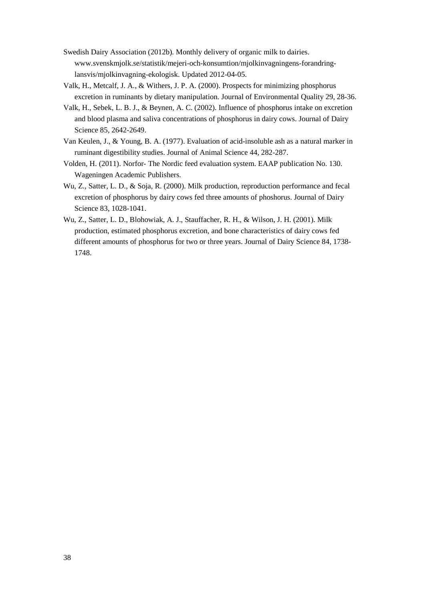- Swedish Dairy Association (2012b). Monthly delivery of organic milk to dairies. www.svenskmjolk.se/statistik/mejeri-och-konsumtion/mjolkinvagningens-forandringlansvis/mjolkinvagning-ekologisk. Updated 2012-04-05.
- Valk, H., Metcalf, J. A., & Withers, J. P. A. (2000). Prospects for minimizing phosphorus excretion in ruminants by dietary manipulation. Journal of Environmental Quality 29, 28-36.
- Valk, H., Sebek, L. B. J., & Beynen, A. C. (2002). Influence of phosphorus intake on excretion and blood plasma and saliva concentrations of phosphorus in dairy cows. Journal of Dairy Science 85, 2642-2649.
- Van Keulen, J., & Young, B. A. (1977). Evaluation of acid-insoluble ash as a natural marker in ruminant digestibility studies. Journal of Animal Science 44, 282-287.
- Volden, H. (2011). Norfor- The Nordic feed evaluation system. EAAP publication No. 130. Wageningen Academic Publishers.
- Wu, Z., Satter, L. D., & Soja, R. (2000). Milk production, reproduction performance and fecal excretion of phosphorus by dairy cows fed three amounts of phoshorus. Journal of Dairy Science 83, 1028-1041.
- Wu, Z., Satter, L. D., Blohowiak, A. J., Stauffacher, R. H., & Wilson, J. H. (2001). Milk production, estimated phosphorus excretion, and bone characteristics of dairy cows fed different amounts of phosphorus for two or three years. Journal of Dairy Science 84, 1738- 1748.